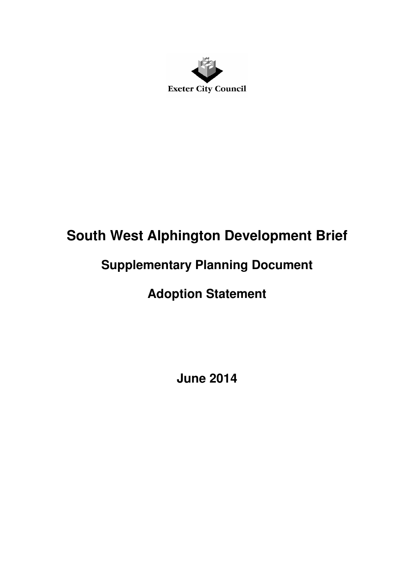

## **South West Alphington Development Brief**

## **Supplementary Planning Document**

## **Adoption Statement**

**June 2014**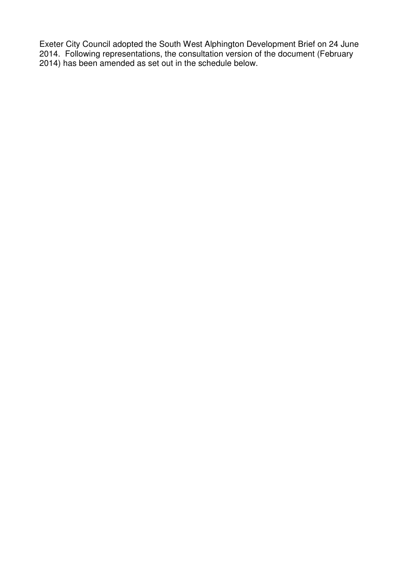Exeter City Council adopted the South West Alphington Development Brief on 24 June 2014. Following representations, the consultation version of the document (February 2014) has been amended as set out in the schedule below.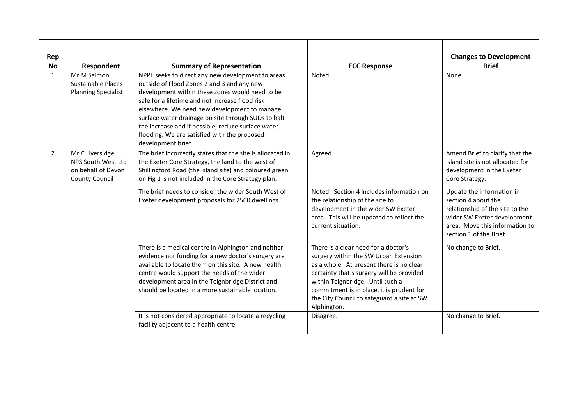| Rep<br><b>No</b> | Respondent                                                                            | <b>Summary of Representation</b>                                                                                                                                                                                                                                                                                                                                                                                                         | <b>ECC Response</b>                                                                                                                                                                                                                                                                                                  | <b>Changes to Development</b><br><b>Brief</b>                                                                                                                                   |
|------------------|---------------------------------------------------------------------------------------|------------------------------------------------------------------------------------------------------------------------------------------------------------------------------------------------------------------------------------------------------------------------------------------------------------------------------------------------------------------------------------------------------------------------------------------|----------------------------------------------------------------------------------------------------------------------------------------------------------------------------------------------------------------------------------------------------------------------------------------------------------------------|---------------------------------------------------------------------------------------------------------------------------------------------------------------------------------|
| 1                | Mr M Salmon.<br><b>Sustainable Places</b><br><b>Planning Specialist</b>               | NPPF seeks to direct any new development to areas<br>outside of Flood Zones 2 and 3 and any new<br>development within these zones would need to be<br>safe for a lifetime and not increase flood risk<br>elsewhere. We need new development to manage<br>surface water drainage on site through SUDs to halt<br>the increase and if possible, reduce surface water<br>flooding. We are satisfied with the proposed<br>development brief. | Noted                                                                                                                                                                                                                                                                                                                | None                                                                                                                                                                            |
| $\overline{2}$   | Mr C Liversidge.<br>NPS South West Ltd<br>on behalf of Devon<br><b>County Council</b> | The brief incorrectly states that the site is allocated in<br>the Exeter Core Strategy, the land to the west of<br>Shillingford Road (the island site) and coloured green<br>on Fig 1 is not included in the Core Strategy plan.                                                                                                                                                                                                         | Agreed.                                                                                                                                                                                                                                                                                                              | Amend Brief to clarify that the<br>island site is not allocated for<br>development in the Exeter<br>Core Strategy.                                                              |
|                  |                                                                                       | The brief needs to consider the wider South West of<br>Exeter development proposals for 2500 dwellings.                                                                                                                                                                                                                                                                                                                                  | Noted. Section 4 includes information on<br>the relationship of the site to<br>development in the wider SW Exeter<br>area. This will be updated to reflect the<br>current situation.                                                                                                                                 | Update the information in<br>section 4 about the<br>relationship of the site to the<br>wider SW Exeter development<br>area. Move this information to<br>section 1 of the Brief. |
|                  |                                                                                       | There is a medical centre in Alphington and neither<br>evidence nor funding for a new doctor's surgery are<br>available to locate them on this site. A new health<br>centre would support the needs of the wider<br>development area in the Teignbridge District and<br>should be located in a more sustainable location.                                                                                                                | There is a clear need for a doctor's<br>surgery within the SW Urban Extension<br>as a whole. At present there is no clear<br>certainty that s surgery will be provided<br>within Teignbridge. Until such a<br>commitment is in place, it is prudent for<br>the City Council to safeguard a site at SW<br>Alphington. | No change to Brief.                                                                                                                                                             |
|                  |                                                                                       | It is not considered appropriate to locate a recycling<br>facility adjacent to a health centre.                                                                                                                                                                                                                                                                                                                                          | Disagree.                                                                                                                                                                                                                                                                                                            | No change to Brief.                                                                                                                                                             |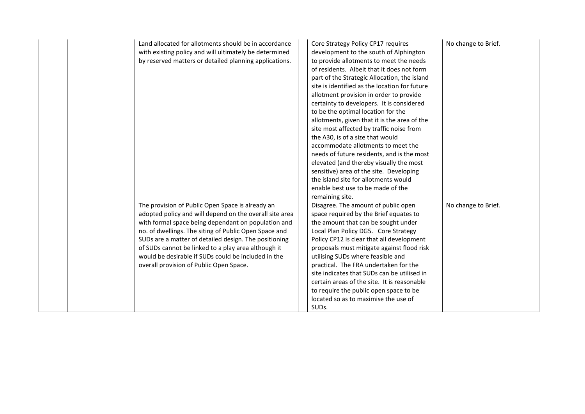| Land allocated for allotments should be in accordance<br>with existing policy and will ultimately be determined<br>by reserved matters or detailed planning applications.                                                                                                                                                                                                                                                                     | Core Strategy Policy CP17 requires<br>development to the south of Alphington<br>to provide allotments to meet the needs<br>of residents. Albeit that it does not form<br>part of the Strategic Allocation, the island<br>site is identified as the location for future<br>allotment provision in order to provide<br>certainty to developers. It is considered<br>to be the optimal location for the<br>allotments, given that it is the area of the<br>site most affected by traffic noise from<br>the A30, is of a size that would<br>accommodate allotments to meet the<br>needs of future residents, and is the most<br>elevated (and thereby visually the most<br>sensitive) area of the site. Developing<br>the island site for allotments would<br>enable best use to be made of the<br>remaining site. | No change to Brief. |
|-----------------------------------------------------------------------------------------------------------------------------------------------------------------------------------------------------------------------------------------------------------------------------------------------------------------------------------------------------------------------------------------------------------------------------------------------|----------------------------------------------------------------------------------------------------------------------------------------------------------------------------------------------------------------------------------------------------------------------------------------------------------------------------------------------------------------------------------------------------------------------------------------------------------------------------------------------------------------------------------------------------------------------------------------------------------------------------------------------------------------------------------------------------------------------------------------------------------------------------------------------------------------|---------------------|
| The provision of Public Open Space is already an<br>adopted policy and will depend on the overall site area<br>with formal space being dependant on population and<br>no. of dwellings. The siting of Public Open Space and<br>SUDs are a matter of detailed design. The positioning<br>of SUDs cannot be linked to a play area although it<br>would be desirable if SUDs could be included in the<br>overall provision of Public Open Space. | Disagree. The amount of public open<br>space required by the Brief equates to<br>the amount that can be sought under<br>Local Plan Policy DG5. Core Strategy<br>Policy CP12 is clear that all development<br>proposals must mitigate against flood risk<br>utilising SUDs where feasible and<br>practical. The FRA undertaken for the<br>site indicates that SUDs can be utilised in<br>certain areas of the site. It is reasonable<br>to require the public open space to be<br>located so as to maximise the use of<br>SUD <sub>s</sub> .                                                                                                                                                                                                                                                                    | No change to Brief. |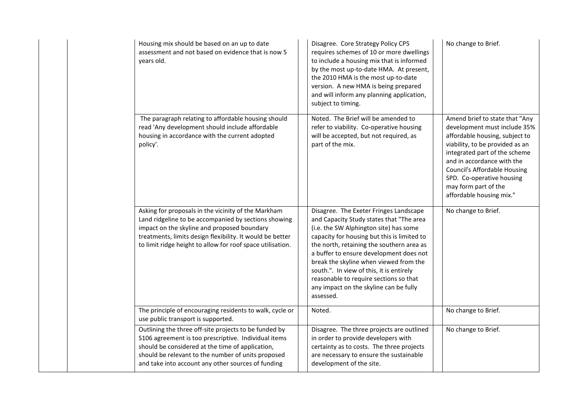| Housing mix should be based on an up to date<br>assessment and not based on evidence that is now 5<br>years old.                                                                                                                                                                      | Disagree. Core Strategy Policy CP5<br>requires schemes of 10 or more dwellings<br>to include a housing mix that is informed<br>by the most up-to-date HMA. At present,<br>the 2010 HMA is the most up-to-date<br>version. A new HMA is being prepared<br>and will inform any planning application,<br>subject to timing.                                                                                                                                   | No change to Brief.                                                                                                                                                                                                                                                                                                        |
|---------------------------------------------------------------------------------------------------------------------------------------------------------------------------------------------------------------------------------------------------------------------------------------|------------------------------------------------------------------------------------------------------------------------------------------------------------------------------------------------------------------------------------------------------------------------------------------------------------------------------------------------------------------------------------------------------------------------------------------------------------|----------------------------------------------------------------------------------------------------------------------------------------------------------------------------------------------------------------------------------------------------------------------------------------------------------------------------|
| The paragraph relating to affordable housing should<br>read 'Any development should include affordable<br>housing in accordance with the current adopted<br>policy'.                                                                                                                  | Noted. The Brief will be amended to<br>refer to viability. Co-operative housing<br>will be accepted, but not required, as<br>part of the mix.                                                                                                                                                                                                                                                                                                              | Amend brief to state that "Any<br>development must include 35%<br>affordable housing, subject to<br>viability, to be provided as an<br>integrated part of the scheme<br>and in accordance with the<br><b>Council's Affordable Housing</b><br>SPD. Co-operative housing<br>may form part of the<br>affordable housing mix." |
| Asking for proposals in the vicinity of the Markham<br>Land ridgeline to be accompanied by sections showing<br>impact on the skyline and proposed boundary<br>treatments, limits design flexibility. It would be better<br>to limit ridge height to allow for roof space utilisation. | Disagree. The Exeter Fringes Landscape<br>and Capacity Study states that "The area<br>(i.e. the SW Alphington site) has some<br>capacity for housing but this is limited to<br>the north, retaining the southern area as<br>a buffer to ensure development does not<br>break the skyline when viewed from the<br>south.". In view of this, it is entirely<br>reasonable to require sections so that<br>any impact on the skyline can be fully<br>assessed. | No change to Brief.                                                                                                                                                                                                                                                                                                        |
| The principle of encouraging residents to walk, cycle or<br>use public transport is supported.                                                                                                                                                                                        | Noted.                                                                                                                                                                                                                                                                                                                                                                                                                                                     | No change to Brief.                                                                                                                                                                                                                                                                                                        |
| Outlining the three off-site projects to be funded by<br>S106 agreement is too prescriptive. Individual items<br>should be considered at the time of application,<br>should be relevant to the number of units proposed<br>and take into account any other sources of funding         | Disagree. The three projects are outlined<br>in order to provide developers with<br>certainty as to costs. The three projects<br>are necessary to ensure the sustainable<br>development of the site.                                                                                                                                                                                                                                                       | No change to Brief.                                                                                                                                                                                                                                                                                                        |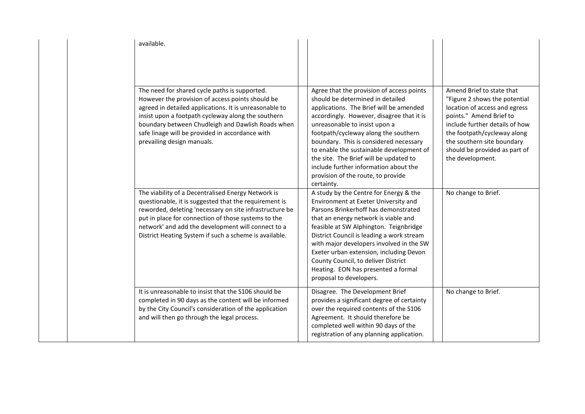| available.                                                                                                                                                                                                                                                                                                                                              |                                                                                                                                                                                                                                                                                                                                                                                                                                                                             |                                                                                                                                                                                                                                                                            |
|---------------------------------------------------------------------------------------------------------------------------------------------------------------------------------------------------------------------------------------------------------------------------------------------------------------------------------------------------------|-----------------------------------------------------------------------------------------------------------------------------------------------------------------------------------------------------------------------------------------------------------------------------------------------------------------------------------------------------------------------------------------------------------------------------------------------------------------------------|----------------------------------------------------------------------------------------------------------------------------------------------------------------------------------------------------------------------------------------------------------------------------|
| The need for shared cycle paths is supported.<br>However the provision of access points should be<br>agreed in detailed applications. It is unreasonable to<br>insist upon a footpath cycleway along the southern<br>boundary between Chudleigh and Dawlish Roads when<br>safe linage will be provided in accordance with<br>prevailing design manuals. | Agree that the provision of access points<br>should be determined in detailed<br>applications. The Brief will be amended<br>accordingly. However, disagree that it is<br>unreasonable to insist upon a<br>footpath/cycleway along the southern<br>boundary. This is considered necessary<br>to enable the sustainable development of<br>the site. The Brief will be updated to<br>include further information about the<br>provision of the route, to provide<br>certainty. | Amend Brief to state that<br>"Figure 2 shows the potential<br>location of access and egress<br>points." Amend Brief to<br>include further details of how<br>the footpath/cycleway along<br>the southern site boundary<br>should be provided as part of<br>the development. |
| The viability of a Decentralised Energy Network is<br>questionable, it is suggested that the requirement is<br>reworded, deleting 'necessary on site infrastructure be<br>put in place for connection of those systems to the<br>network' and add the development will connect to a<br>District Heating System if such a scheme is available.           | A study by the Centre for Energy & the<br>Environment at Exeter University and<br>Parsons Brinkerhoff has demonstrated<br>that an energy network is viable and<br>feasible at SW Alphington. Teignbridge<br>District Council is leading a work stream<br>with major developers involved in the SW<br>Exeter urban extension, including Devon<br>County Council, to deliver District<br>Heating. EON has presented a formal<br>proposal to developers.                       | No change to Brief.                                                                                                                                                                                                                                                        |
| It is unreasonable to insist that the S106 should be<br>completed in 90 days as the content will be informed<br>by the City Council's consideration of the application<br>and will then go through the legal process.                                                                                                                                   | Disagree. The Development Brief<br>provides a significant degree of certainty<br>over the required contents of the S106<br>Agreement. It should therefore be<br>completed well within 90 days of the<br>registration of any planning application.                                                                                                                                                                                                                           | No change to Brief.                                                                                                                                                                                                                                                        |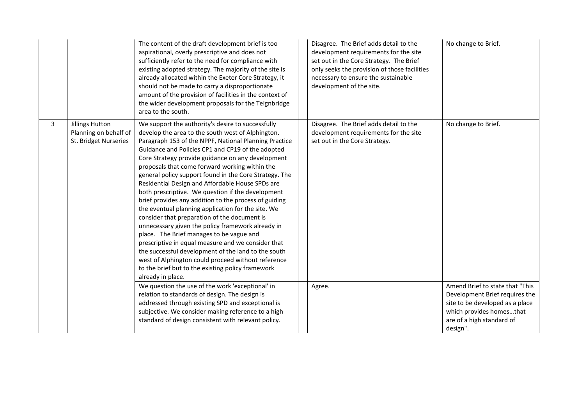|   |                                                                   | The content of the draft development brief is too<br>aspirational, overly prescriptive and does not<br>sufficiently refer to the need for compliance with<br>existing adopted strategy. The majority of the site is<br>already allocated within the Exeter Core Strategy, it<br>should not be made to carry a disproportionate<br>amount of the provision of facilities in the context of<br>the wider development proposals for the Teignbridge<br>area to the south.                                                                                                                                                                                                                                                                                                                                                                                                                                                                                                                                      | Disagree. The Brief adds detail to the<br>development requirements for the site<br>set out in the Core Strategy. The Brief<br>only seeks the provision of those facilities<br>necessary to ensure the sustainable<br>development of the site. | No change to Brief.                                                                                                                                                       |
|---|-------------------------------------------------------------------|-------------------------------------------------------------------------------------------------------------------------------------------------------------------------------------------------------------------------------------------------------------------------------------------------------------------------------------------------------------------------------------------------------------------------------------------------------------------------------------------------------------------------------------------------------------------------------------------------------------------------------------------------------------------------------------------------------------------------------------------------------------------------------------------------------------------------------------------------------------------------------------------------------------------------------------------------------------------------------------------------------------|-----------------------------------------------------------------------------------------------------------------------------------------------------------------------------------------------------------------------------------------------|---------------------------------------------------------------------------------------------------------------------------------------------------------------------------|
| 3 | Jillings Hutton<br>Planning on behalf of<br>St. Bridget Nurseries | We support the authority's desire to successfully<br>develop the area to the south west of Alphington.<br>Paragraph 153 of the NPPF, National Planning Practice<br>Guidance and Policies CP1 and CP19 of the adopted<br>Core Strategy provide guidance on any development<br>proposals that come forward working within the<br>general policy support found in the Core Strategy. The<br>Residential Design and Affordable House SPDs are<br>both prescriptive. We question if the development<br>brief provides any addition to the process of guiding<br>the eventual planning application for the site. We<br>consider that preparation of the document is<br>unnecessary given the policy framework already in<br>place. The Brief manages to be vague and<br>prescriptive in equal measure and we consider that<br>the successful development of the land to the south<br>west of Alphington could proceed without reference<br>to the brief but to the existing policy framework<br>already in place. | Disagree. The Brief adds detail to the<br>development requirements for the site<br>set out in the Core Strategy.                                                                                                                              | No change to Brief.                                                                                                                                                       |
|   |                                                                   | We question the use of the work 'exceptional' in<br>relation to standards of design. The design is<br>addressed through existing SPD and exceptional is<br>subjective. We consider making reference to a high<br>standard of design consistent with relevant policy.                                                                                                                                                                                                                                                                                                                                                                                                                                                                                                                                                                                                                                                                                                                                        | Agree.                                                                                                                                                                                                                                        | Amend Brief to state that "This<br>Development Brief requires the<br>site to be developed as a place<br>which provides homesthat<br>are of a high standard of<br>design". |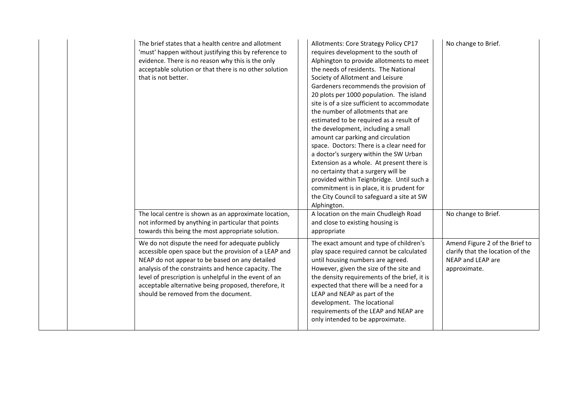| The brief states that a health centre and allotment<br>'must' happen without justifying this by reference to<br>evidence. There is no reason why this is the only<br>acceptable solution or that there is no other solution<br>that is not better.                                                                                                                          | No change to Brief.<br>Allotments: Core Strategy Policy CP17<br>requires development to the south of<br>Alphington to provide allotments to meet<br>the needs of residents. The National<br>Society of Allotment and Leisure<br>Gardeners recommends the provision of<br>20 plots per 1000 population. The island<br>site is of a size sufficient to accommodate<br>the number of allotments that are<br>estimated to be required as a result of<br>the development, including a small<br>amount car parking and circulation<br>space. Doctors: There is a clear need for<br>a doctor's surgery within the SW Urban<br>Extension as a whole. At present there is<br>no certainty that a surgery will be<br>provided within Teignbridge. Until such a<br>commitment is in place, it is prudent for<br>the City Council to safeguard a site at SW<br>Alphington. |  |
|-----------------------------------------------------------------------------------------------------------------------------------------------------------------------------------------------------------------------------------------------------------------------------------------------------------------------------------------------------------------------------|----------------------------------------------------------------------------------------------------------------------------------------------------------------------------------------------------------------------------------------------------------------------------------------------------------------------------------------------------------------------------------------------------------------------------------------------------------------------------------------------------------------------------------------------------------------------------------------------------------------------------------------------------------------------------------------------------------------------------------------------------------------------------------------------------------------------------------------------------------------|--|
| The local centre is shown as an approximate location,<br>not informed by anything in particular that points<br>towards this being the most appropriate solution.                                                                                                                                                                                                            | A location on the main Chudleigh Road<br>No change to Brief.<br>and close to existing housing is<br>appropriate                                                                                                                                                                                                                                                                                                                                                                                                                                                                                                                                                                                                                                                                                                                                                |  |
| We do not dispute the need for adequate publicly<br>accessible open space but the provision of a LEAP and<br>NEAP do not appear to be based on any detailed<br>analysis of the constraints and hence capacity. The<br>level of prescription is unhelpful in the event of an<br>acceptable alternative being proposed, therefore, it<br>should be removed from the document. | The exact amount and type of children's<br>Amend Figure 2 of the Brief to<br>play space required cannot be calculated<br>clarify that the location of the<br>until housing numbers are agreed.<br>NEAP and LEAP are<br>However, given the size of the site and<br>approximate.<br>the density requirements of the brief, it is<br>expected that there will be a need for a<br>LEAP and NEAP as part of the<br>development. The locational<br>requirements of the LEAP and NEAP are<br>only intended to be approximate.                                                                                                                                                                                                                                                                                                                                         |  |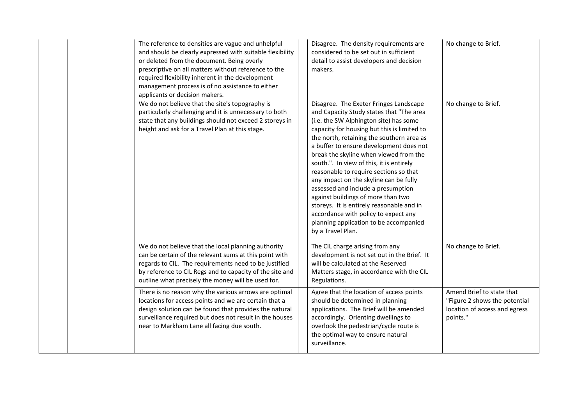| The reference to densities are vague and unhelpful<br>and should be clearly expressed with suitable flexibility<br>or deleted from the document. Being overly<br>prescriptive on all matters without reference to the<br>required flexibility inherent in the development<br>management process is of no assistance to either<br>applicants or decision makers. | Disagree. The density requirements are<br>considered to be set out in sufficient<br>detail to assist developers and decision<br>makers.                                                                                                                                                                                                                                                                                                                                                                                                                                                                                                                                       | No change to Brief.                                                                                     |
|-----------------------------------------------------------------------------------------------------------------------------------------------------------------------------------------------------------------------------------------------------------------------------------------------------------------------------------------------------------------|-------------------------------------------------------------------------------------------------------------------------------------------------------------------------------------------------------------------------------------------------------------------------------------------------------------------------------------------------------------------------------------------------------------------------------------------------------------------------------------------------------------------------------------------------------------------------------------------------------------------------------------------------------------------------------|---------------------------------------------------------------------------------------------------------|
| We do not believe that the site's topography is<br>particularly challenging and it is unnecessary to both<br>state that any buildings should not exceed 2 storeys in<br>height and ask for a Travel Plan at this stage.                                                                                                                                         | Disagree. The Exeter Fringes Landscape<br>and Capacity Study states that "The area<br>(i.e. the SW Alphington site) has some<br>capacity for housing but this is limited to<br>the north, retaining the southern area as<br>a buffer to ensure development does not<br>break the skyline when viewed from the<br>south.". In view of this, it is entirely<br>reasonable to require sections so that<br>any impact on the skyline can be fully<br>assessed and include a presumption<br>against buildings of more than two<br>storeys. It is entirely reasonable and in<br>accordance with policy to expect any<br>planning application to be accompanied<br>by a Travel Plan. | No change to Brief.                                                                                     |
| We do not believe that the local planning authority<br>can be certain of the relevant sums at this point with<br>regards to CIL. The requirements need to be justified<br>by reference to CIL Regs and to capacity of the site and<br>outline what precisely the money will be used for.                                                                        | The CIL charge arising from any<br>development is not set out in the Brief. It<br>will be calculated at the Reserved<br>Matters stage, in accordance with the CIL<br>Regulations.                                                                                                                                                                                                                                                                                                                                                                                                                                                                                             | No change to Brief.                                                                                     |
| There is no reason why the various arrows are optimal<br>locations for access points and we are certain that a<br>design solution can be found that provides the natural<br>surveillance required but does not result in the houses<br>near to Markham Lane all facing due south.                                                                               | Agree that the location of access points<br>should be determined in planning<br>applications. The Brief will be amended<br>accordingly. Orienting dwellings to<br>overlook the pedestrian/cycle route is<br>the optimal way to ensure natural<br>surveillance.                                                                                                                                                                                                                                                                                                                                                                                                                | Amend Brief to state that<br>"Figure 2 shows the potential<br>location of access and egress<br>points." |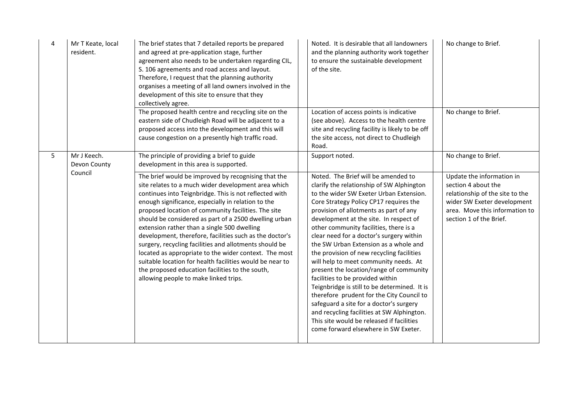| 4 | Mr T Keate, local<br>resident. | The brief states that 7 detailed reports be prepared<br>and agreed at pre-application stage, further<br>agreement also needs to be undertaken regarding CIL,<br>S. 106 agreements and road access and layout.<br>Therefore, I request that the planning authority<br>organises a meeting of all land owners involved in the<br>development of this site to ensure that they<br>collectively agree.                                                                                                                                                                                                                                                                                                                              | Noted. It is desirable that all landowners<br>and the planning authority work together<br>to ensure the sustainable development<br>of the site.                                                                                                                                                                                                                                                                                                                                                                                                                                                                                                                                                                                                                                                                                          | No change to Brief.                                                                                                                                                             |
|---|--------------------------------|---------------------------------------------------------------------------------------------------------------------------------------------------------------------------------------------------------------------------------------------------------------------------------------------------------------------------------------------------------------------------------------------------------------------------------------------------------------------------------------------------------------------------------------------------------------------------------------------------------------------------------------------------------------------------------------------------------------------------------|------------------------------------------------------------------------------------------------------------------------------------------------------------------------------------------------------------------------------------------------------------------------------------------------------------------------------------------------------------------------------------------------------------------------------------------------------------------------------------------------------------------------------------------------------------------------------------------------------------------------------------------------------------------------------------------------------------------------------------------------------------------------------------------------------------------------------------------|---------------------------------------------------------------------------------------------------------------------------------------------------------------------------------|
|   |                                | The proposed health centre and recycling site on the<br>eastern side of Chudleigh Road will be adjacent to a<br>proposed access into the development and this will<br>cause congestion on a presently high traffic road.                                                                                                                                                                                                                                                                                                                                                                                                                                                                                                        | Location of access points is indicative<br>(see above). Access to the health centre<br>site and recycling facility is likely to be off<br>the site access, not direct to Chudleigh<br>Road.                                                                                                                                                                                                                                                                                                                                                                                                                                                                                                                                                                                                                                              | No change to Brief.                                                                                                                                                             |
| 5 | Mr J Keech.<br>Devon County    | The principle of providing a brief to guide<br>development in this area is supported.                                                                                                                                                                                                                                                                                                                                                                                                                                                                                                                                                                                                                                           | Support noted.                                                                                                                                                                                                                                                                                                                                                                                                                                                                                                                                                                                                                                                                                                                                                                                                                           | No change to Brief.                                                                                                                                                             |
|   | Council                        | The brief would be improved by recognising that the<br>site relates to a much wider development area which<br>continues into Teignbridge. This is not reflected with<br>enough significance, especially in relation to the<br>proposed location of community facilities. The site<br>should be considered as part of a 2500 dwelling urban<br>extension rather than a single 500 dwelling<br>development, therefore, facilities such as the doctor's<br>surgery, recycling facilities and allotments should be<br>located as appropriate to the wider context. The most<br>suitable location for health facilities would be near to<br>the proposed education facilities to the south,<br>allowing people to make linked trips. | Noted. The Brief will be amended to<br>clarify the relationship of SW Alphington<br>to the wider SW Exeter Urban Extension.<br>Core Strategy Policy CP17 requires the<br>provision of allotments as part of any<br>development at the site. In respect of<br>other community facilities, there is a<br>clear need for a doctor's surgery within<br>the SW Urban Extension as a whole and<br>the provision of new recycling facilities<br>will help to meet community needs. At<br>present the location/range of community<br>facilities to be provided within<br>Teignbridge is still to be determined. It is<br>therefore prudent for the City Council to<br>safeguard a site for a doctor's surgery<br>and recycling facilities at SW Alphington.<br>This site would be released if facilities<br>come forward elsewhere in SW Exeter. | Update the information in<br>section 4 about the<br>relationship of the site to the<br>wider SW Exeter development<br>area. Move this information to<br>section 1 of the Brief. |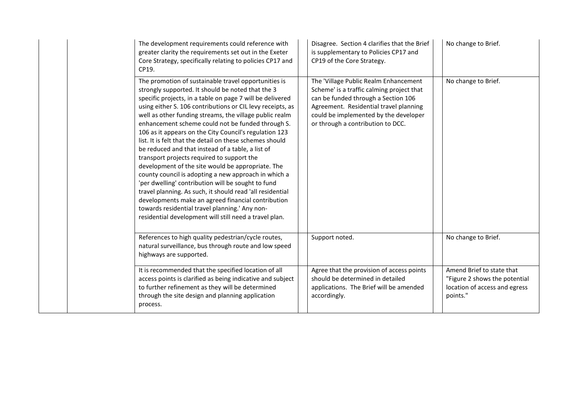| The development requirements could reference with<br>greater clarity the requirements set out in the Exeter<br>Core Strategy, specifically relating to policies CP17 and<br>CP19.                                                                                                                                                                                                                                                                                                                                                                                                                                                                                                                                                                                                                                                                                                                                                                                               | Disagree. Section 4 clarifies that the Brief<br>is supplementary to Policies CP17 and<br>CP19 of the Core Strategy.                                                                                                                               | No change to Brief.                                                                                     |
|---------------------------------------------------------------------------------------------------------------------------------------------------------------------------------------------------------------------------------------------------------------------------------------------------------------------------------------------------------------------------------------------------------------------------------------------------------------------------------------------------------------------------------------------------------------------------------------------------------------------------------------------------------------------------------------------------------------------------------------------------------------------------------------------------------------------------------------------------------------------------------------------------------------------------------------------------------------------------------|---------------------------------------------------------------------------------------------------------------------------------------------------------------------------------------------------------------------------------------------------|---------------------------------------------------------------------------------------------------------|
| The promotion of sustainable travel opportunities is<br>strongly supported. It should be noted that the 3<br>specific projects, in a table on page 7 will be delivered<br>using either S. 106 contributions or CIL levy receipts, as<br>well as other funding streams, the village public realm<br>enhancement scheme could not be funded through S.<br>106 as it appears on the City Council's regulation 123<br>list. It is felt that the detail on these schemes should<br>be reduced and that instead of a table, a list of<br>transport projects required to support the<br>development of the site would be appropriate. The<br>county council is adopting a new approach in which a<br>'per dwelling' contribution will be sought to fund<br>travel planning. As such, it should read 'all residential<br>developments make an agreed financial contribution<br>towards residential travel planning.' Any non-<br>residential development will still need a travel plan. | The 'Village Public Realm Enhancement<br>Scheme' is a traffic calming project that<br>can be funded through a Section 106<br>Agreement. Residential travel planning<br>could be implemented by the developer<br>or through a contribution to DCC. | No change to Brief.                                                                                     |
| References to high quality pedestrian/cycle routes,<br>natural surveillance, bus through route and low speed<br>highways are supported.                                                                                                                                                                                                                                                                                                                                                                                                                                                                                                                                                                                                                                                                                                                                                                                                                                         | Support noted.                                                                                                                                                                                                                                    | No change to Brief.                                                                                     |
| It is recommended that the specified location of all<br>access points is clarified as being indicative and subject<br>to further refinement as they will be determined<br>through the site design and planning application<br>process.                                                                                                                                                                                                                                                                                                                                                                                                                                                                                                                                                                                                                                                                                                                                          | Agree that the provision of access points<br>should be determined in detailed<br>applications. The Brief will be amended<br>accordingly.                                                                                                          | Amend Brief to state that<br>"Figure 2 shows the potential<br>location of access and egress<br>points." |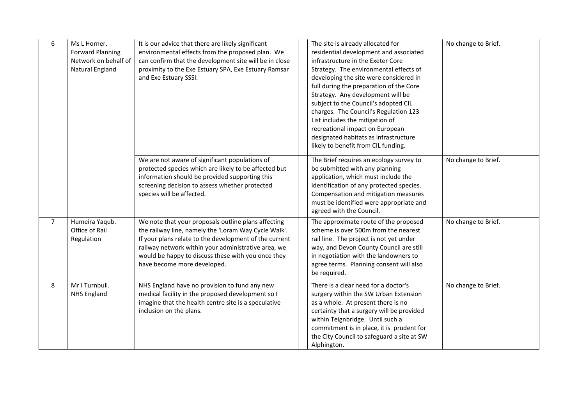| 6              | Ms L Horner.<br><b>Forward Planning</b><br>Network on behalf of<br>Natural England | It is our advice that there are likely significant<br>environmental effects from the proposed plan. We<br>can confirm that the development site will be in close<br>proximity to the Exe Estuary SPA, Exe Estuary Ramsar<br>and Exe Estuary SSSI.                                                                 | The site is already allocated for<br>residential development and associated<br>infrastructure in the Exeter Core<br>Strategy. The environmental effects of<br>developing the site were considered in<br>full during the preparation of the Core<br>Strategy. Any development will be<br>subject to the Council's adopted CIL<br>charges. The Council's Regulation 123<br>List includes the mitigation of<br>recreational impact on European<br>designated habitats as infrastructure<br>likely to benefit from CIL funding. | No change to Brief. |
|----------------|------------------------------------------------------------------------------------|-------------------------------------------------------------------------------------------------------------------------------------------------------------------------------------------------------------------------------------------------------------------------------------------------------------------|-----------------------------------------------------------------------------------------------------------------------------------------------------------------------------------------------------------------------------------------------------------------------------------------------------------------------------------------------------------------------------------------------------------------------------------------------------------------------------------------------------------------------------|---------------------|
|                |                                                                                    | We are not aware of significant populations of<br>protected species which are likely to be affected but<br>information should be provided supporting this<br>screening decision to assess whether protected<br>species will be affected.                                                                          | The Brief requires an ecology survey to<br>be submitted with any planning<br>application, which must include the<br>identification of any protected species.<br>Compensation and mitigation measures<br>must be identified were appropriate and<br>agreed with the Council.                                                                                                                                                                                                                                                 | No change to Brief. |
| $\overline{7}$ | Humeira Yaqub.<br>Office of Rail<br>Regulation                                     | We note that your proposals outline plans affecting<br>the railway line, namely the 'Loram Way Cycle Walk'.<br>If your plans relate to the development of the current<br>railway network within your administrative area, we<br>would be happy to discuss these with you once they<br>have become more developed. | The approximate route of the proposed<br>scheme is over 500m from the nearest<br>rail line. The project is not yet under<br>way, and Devon County Council are still<br>in negotiation with the landowners to<br>agree terms. Planning consent will also<br>be required.                                                                                                                                                                                                                                                     | No change to Brief. |
| 8              | Mr I Turnbull.<br><b>NHS England</b>                                               | NHS England have no provision to fund any new<br>medical facility in the proposed development so I<br>imagine that the health centre site is a speculative<br>inclusion on the plans.                                                                                                                             | There is a clear need for a doctor's<br>surgery within the SW Urban Extension<br>as a whole. At present there is no<br>certainty that a surgery will be provided<br>within Teignbridge. Until such a<br>commitment is in place, it is prudent for<br>the City Council to safeguard a site at SW<br>Alphington.                                                                                                                                                                                                              | No change to Brief. |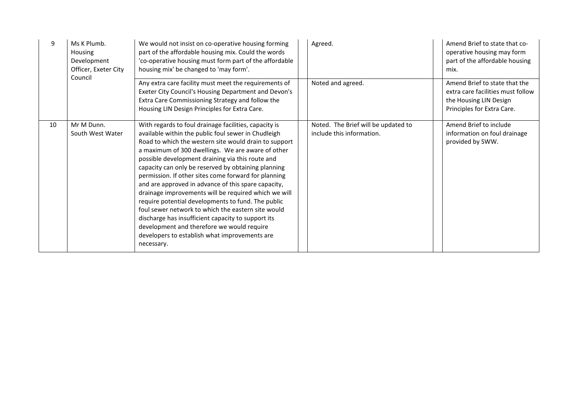| 9  | Ms K Plumb.<br><b>Housing</b><br>Development<br>Officer, Exeter City<br>Council | We would not insist on co-operative housing forming<br>part of the affordable housing mix. Could the words<br>'co-operative housing must form part of the affordable<br>housing mix' be changed to 'may form'.                                                                                                                                                                                                                                                                                                                                                                                                                                                                                                                                                                              |  | Agreed.                                                          | Amend Brief to state that co-<br>operative housing may form<br>part of the affordable housing<br>mix.                      |
|----|---------------------------------------------------------------------------------|---------------------------------------------------------------------------------------------------------------------------------------------------------------------------------------------------------------------------------------------------------------------------------------------------------------------------------------------------------------------------------------------------------------------------------------------------------------------------------------------------------------------------------------------------------------------------------------------------------------------------------------------------------------------------------------------------------------------------------------------------------------------------------------------|--|------------------------------------------------------------------|----------------------------------------------------------------------------------------------------------------------------|
|    |                                                                                 | Any extra care facility must meet the requirements of<br>Exeter City Council's Housing Department and Devon's<br>Extra Care Commissioning Strategy and follow the<br>Housing LIN Design Principles for Extra Care.                                                                                                                                                                                                                                                                                                                                                                                                                                                                                                                                                                          |  | Noted and agreed.                                                | Amend Brief to state that the<br>extra care facilities must follow<br>the Housing LIN Design<br>Principles for Extra Care. |
| 10 | Mr M Dunn.<br>South West Water                                                  | With regards to foul drainage facilities, capacity is<br>available within the public foul sewer in Chudleigh<br>Road to which the western site would drain to support<br>a maximum of 300 dwellings. We are aware of other<br>possible development draining via this route and<br>capacity can only be reserved by obtaining planning<br>permission. If other sites come forward for planning<br>and are approved in advance of this spare capacity,<br>drainage improvements will be required which we will<br>require potential developments to fund. The public<br>foul sewer network to which the eastern site would<br>discharge has insufficient capacity to support its<br>development and therefore we would require<br>developers to establish what improvements are<br>necessary. |  | Noted. The Brief will be updated to<br>include this information. | Amend Brief to include<br>information on foul drainage<br>provided by SWW.                                                 |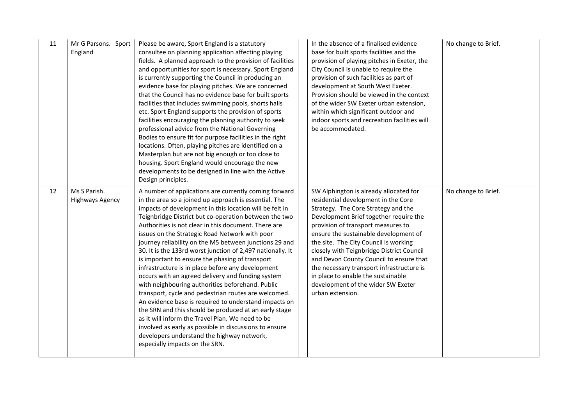| 11 | Mr G Parsons. Sport<br>England  | Please be aware, Sport England is a statutory<br>consultee on planning application affecting playing<br>fields. A planned approach to the provision of facilities<br>and opportunities for sport is necessary. Sport England<br>is currently supporting the Council in producing an<br>evidence base for playing pitches. We are concerned<br>that the Council has no evidence base for built sports<br>facilities that includes swimming pools, shorts halls<br>etc. Sport England supports the provision of sports<br>facilities encouraging the planning authority to seek<br>professional advice from the National Governing<br>Bodies to ensure fit for purpose facilities in the right<br>locations. Often, playing pitches are identified on a<br>Masterplan but are not big enough or too close to<br>housing. Sport England would encourage the new<br>developments to be designed in line with the Active<br>Design principles.                                                                                                                     | In the absence of a finalised evidence<br>base for built sports facilities and the<br>provision of playing pitches in Exeter, the<br>City Council is unable to require the<br>provision of such facilities as part of<br>development at South West Exeter.<br>Provision should be viewed in the context<br>of the wider SW Exeter urban extension,<br>within which significant outdoor and<br>indoor sports and recreation facilities will<br>be accommodated.                                                              | No change to Brief. |
|----|---------------------------------|---------------------------------------------------------------------------------------------------------------------------------------------------------------------------------------------------------------------------------------------------------------------------------------------------------------------------------------------------------------------------------------------------------------------------------------------------------------------------------------------------------------------------------------------------------------------------------------------------------------------------------------------------------------------------------------------------------------------------------------------------------------------------------------------------------------------------------------------------------------------------------------------------------------------------------------------------------------------------------------------------------------------------------------------------------------|-----------------------------------------------------------------------------------------------------------------------------------------------------------------------------------------------------------------------------------------------------------------------------------------------------------------------------------------------------------------------------------------------------------------------------------------------------------------------------------------------------------------------------|---------------------|
| 12 | Ms S Parish.<br>Highways Agency | A number of applications are currently coming forward<br>in the area so a joined up approach is essential. The<br>impacts of development in this location will be felt in<br>Teignbridge District but co-operation between the two<br>Authorities is not clear in this document. There are<br>issues on the Strategic Road Network with poor<br>journey reliability on the M5 between junctions 29 and<br>30. It is the 133rd worst junction of 2,497 nationally. It<br>is important to ensure the phasing of transport<br>infrastructure is in place before any development<br>occurs with an agreed delivery and funding system<br>with neighbouring authorities beforehand. Public<br>transport, cycle and pedestrian routes are welcomed.<br>An evidence base is required to understand impacts on<br>the SRN and this should be produced at an early stage<br>as it will inform the Travel Plan. We need to be<br>involved as early as possible in discussions to ensure<br>developers understand the highway network,<br>especially impacts on the SRN. | SW Alphington is already allocated for<br>residential development in the Core<br>Strategy. The Core Strategy and the<br>Development Brief together require the<br>provision of transport measures to<br>ensure the sustainable development of<br>the site. The City Council is working<br>closely with Teignbridge District Council<br>and Devon County Council to ensure that<br>the necessary transport infrastructure is<br>in place to enable the sustainable<br>development of the wider SW Exeter<br>urban extension. | No change to Brief. |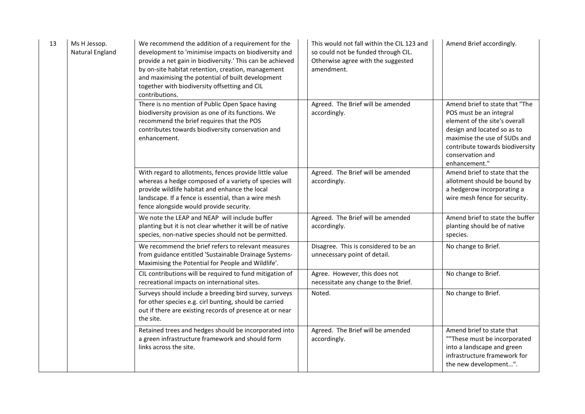| 13 | Ms H Jessop.<br>Natural England | We recommend the addition of a requirement for the<br>development to 'minimise impacts on biodiversity and<br>provide a net gain in biodiversity.' This can be achieved<br>by on-site habitat retention, creation, management<br>and maximising the potential of built development<br>together with biodiversity offsetting and CIL<br>contributions. | This would not fall within the CIL 123 and<br>so could not be funded through CIL.<br>Otherwise agree with the suggested<br>amendment. | Amend Brief accordingly.                                                                                                                                                                                                          |
|----|---------------------------------|-------------------------------------------------------------------------------------------------------------------------------------------------------------------------------------------------------------------------------------------------------------------------------------------------------------------------------------------------------|---------------------------------------------------------------------------------------------------------------------------------------|-----------------------------------------------------------------------------------------------------------------------------------------------------------------------------------------------------------------------------------|
|    |                                 | There is no mention of Public Open Space having<br>biodiversity provision as one of its functions. We<br>recommend the brief requires that the POS<br>contributes towards biodiversity conservation and<br>enhancement.                                                                                                                               | Agreed. The Brief will be amended<br>accordingly.                                                                                     | Amend brief to state that "The<br>POS must be an integral<br>element of the site's overall<br>design and located so as to<br>maximise the use of SUDs and<br>contribute towards biodiversity<br>conservation and<br>enhancement." |
|    |                                 | With regard to allotments, fences provide little value<br>whereas a hedge composed of a variety of species will<br>provide wildlife habitat and enhance the local<br>landscape. If a fence is essential, than a wire mesh<br>fence alongside would provide security.                                                                                  | Agreed. The Brief will be amended<br>accordingly.                                                                                     | Amend brief to state that the<br>allotment should be bound by<br>a hedgerow incorporating a<br>wire mesh fence for security.                                                                                                      |
|    |                                 | We note the LEAP and NEAP will include buffer<br>planting but it is not clear whether it will be of native<br>species, non-native species should not be permitted.                                                                                                                                                                                    | Agreed. The Brief will be amended<br>accordingly.                                                                                     | Amend brief to state the buffer<br>planting should be of native<br>species.                                                                                                                                                       |
|    |                                 | We recommend the brief refers to relevant measures<br>from guidance entitled 'Sustainable Drainage Systems-<br>Maximising the Potential for People and Wildlife'.                                                                                                                                                                                     | Disagree. This is considered to be an<br>unnecessary point of detail.                                                                 | No change to Brief.                                                                                                                                                                                                               |
|    |                                 | CIL contributions will be required to fund mitigation of<br>recreational impacts on international sites.                                                                                                                                                                                                                                              | Agree. However, this does not<br>necessitate any change to the Brief.                                                                 | No change to Brief.                                                                                                                                                                                                               |
|    |                                 | Surveys should include a breeding bird survey, surveys<br>for other species e.g. cirl bunting, should be carried<br>out if there are existing records of presence at or near<br>the site.                                                                                                                                                             | Noted.                                                                                                                                | No change to Brief.                                                                                                                                                                                                               |
|    |                                 | Retained trees and hedges should be incorporated into<br>a green infrastructure framework and should form<br>links across the site.                                                                                                                                                                                                                   | Agreed. The Brief will be amended<br>accordingly.                                                                                     | Amend brief to state that<br>""These must be incorporated<br>into a landscape and green<br>infrastructure framework for<br>the new development".                                                                                  |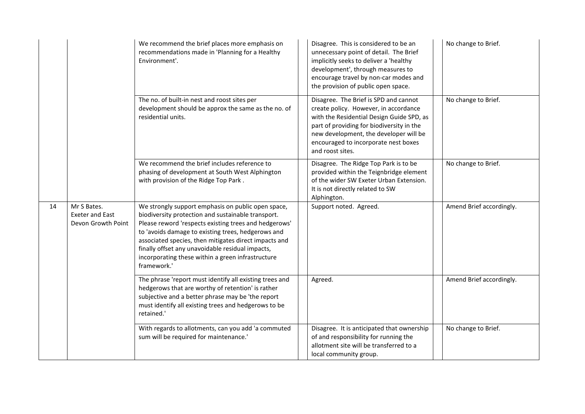|    |                                                             | We recommend the brief places more emphasis on<br>recommendations made in 'Planning for a Healthy<br>Environment'.                                                                                                                                                                                                                                                                                       | Disagree. This is considered to be an<br>unnecessary point of detail. The Brief<br>implicitly seeks to deliver a 'healthy<br>development', through measures to<br>encourage travel by non-car modes and<br>the provision of public open space.                                 | No change to Brief.      |
|----|-------------------------------------------------------------|----------------------------------------------------------------------------------------------------------------------------------------------------------------------------------------------------------------------------------------------------------------------------------------------------------------------------------------------------------------------------------------------------------|--------------------------------------------------------------------------------------------------------------------------------------------------------------------------------------------------------------------------------------------------------------------------------|--------------------------|
|    |                                                             | The no. of built-in nest and roost sites per<br>development should be approx the same as the no. of<br>residential units.                                                                                                                                                                                                                                                                                | Disagree. The Brief is SPD and cannot<br>create policy. However, in accordance<br>with the Residential Design Guide SPD, as<br>part of providing for biodiversity in the<br>new development, the developer will be<br>encouraged to incorporate nest boxes<br>and roost sites. | No change to Brief.      |
|    |                                                             | We recommend the brief includes reference to<br>phasing of development at South West Alphington<br>with provision of the Ridge Top Park.                                                                                                                                                                                                                                                                 | Disagree. The Ridge Top Park is to be<br>provided within the Teignbridge element<br>of the wider SW Exeter Urban Extension.<br>It is not directly related to SW<br>Alphington.                                                                                                 | No change to Brief.      |
| 14 | Mr S Bates.<br><b>Exeter and East</b><br>Devon Growth Point | We strongly support emphasis on public open space,<br>biodiversity protection and sustainable transport.<br>Please reword 'respects existing trees and hedgerows'<br>to 'avoids damage to existing trees, hedgerows and<br>associated species, then mitigates direct impacts and<br>finally offset any unavoidable residual impacts,<br>incorporating these within a green infrastructure<br>framework.' | Support noted. Agreed.                                                                                                                                                                                                                                                         | Amend Brief accordingly. |
|    |                                                             | The phrase 'report must identify all existing trees and<br>hedgerows that are worthy of retention' is rather<br>subjective and a better phrase may be 'the report<br>must identify all existing trees and hedgerows to be<br>retained.'                                                                                                                                                                  | Agreed.                                                                                                                                                                                                                                                                        | Amend Brief accordingly. |
|    |                                                             | With regards to allotments, can you add 'a commuted<br>sum will be required for maintenance.'                                                                                                                                                                                                                                                                                                            | Disagree. It is anticipated that ownership<br>of and responsibility for running the<br>allotment site will be transferred to a<br>local community group.                                                                                                                       | No change to Brief.      |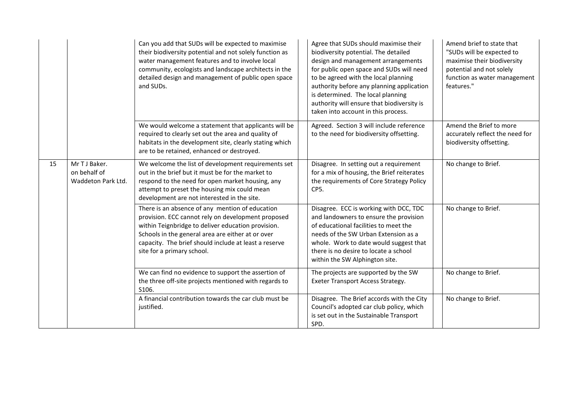|    |                                                     | Can you add that SUDs will be expected to maximise<br>their biodiversity potential and not solely function as<br>water management features and to involve local<br>community, ecologists and landscape architects in the<br>detailed design and management of public open space<br>and SUDs.            | Agree that SUDs should maximise their<br>biodiversity potential. The detailed<br>design and management arrangements<br>for public open space and SUDs will need<br>to be agreed with the local planning<br>authority before any planning application<br>is determined. The local planning<br>authority will ensure that biodiversity is<br>taken into account in this process. | Amend brief to state that<br>"SUDs will be expected to<br>maximise their biodiversity<br>potential and not solely<br>function as water management<br>features." |
|----|-----------------------------------------------------|---------------------------------------------------------------------------------------------------------------------------------------------------------------------------------------------------------------------------------------------------------------------------------------------------------|--------------------------------------------------------------------------------------------------------------------------------------------------------------------------------------------------------------------------------------------------------------------------------------------------------------------------------------------------------------------------------|-----------------------------------------------------------------------------------------------------------------------------------------------------------------|
|    |                                                     | We would welcome a statement that applicants will be<br>required to clearly set out the area and quality of<br>habitats in the development site, clearly stating which<br>are to be retained, enhanced or destroyed.                                                                                    | Agreed. Section 3 will include reference<br>to the need for biodiversity offsetting.                                                                                                                                                                                                                                                                                           | Amend the Brief to more<br>accurately reflect the need for<br>biodiversity offsetting.                                                                          |
| 15 | Mr T J Baker.<br>on behalf of<br>Waddeton Park Ltd. | We welcome the list of development requirements set<br>out in the brief but it must be for the market to<br>respond to the need for open market housing, any<br>attempt to preset the housing mix could mean<br>development are not interested in the site.                                             | Disagree. In setting out a requirement<br>for a mix of housing, the Brief reiterates<br>the requirements of Core Strategy Policy<br>CP5.                                                                                                                                                                                                                                       | No change to Brief.                                                                                                                                             |
|    |                                                     | There is an absence of any mention of education<br>provision. ECC cannot rely on development proposed<br>within Teignbridge to deliver education provision.<br>Schools in the general area are either at or over<br>capacity. The brief should include at least a reserve<br>site for a primary school. | Disagree. ECC is working with DCC, TDC<br>and landowners to ensure the provision<br>of educational facilities to meet the<br>needs of the SW Urban Extension as a<br>whole. Work to date would suggest that<br>there is no desire to locate a school<br>within the SW Alphington site.                                                                                         | No change to Brief.                                                                                                                                             |
|    |                                                     | We can find no evidence to support the assertion of<br>the three off-site projects mentioned with regards to<br>S106.                                                                                                                                                                                   | The projects are supported by the SW<br>Exeter Transport Access Strategy.                                                                                                                                                                                                                                                                                                      | No change to Brief.                                                                                                                                             |
|    |                                                     | A financial contribution towards the car club must be<br>justified.                                                                                                                                                                                                                                     | Disagree. The Brief accords with the City<br>Council's adopted car club policy, which<br>is set out in the Sustainable Transport<br>SPD.                                                                                                                                                                                                                                       | No change to Brief.                                                                                                                                             |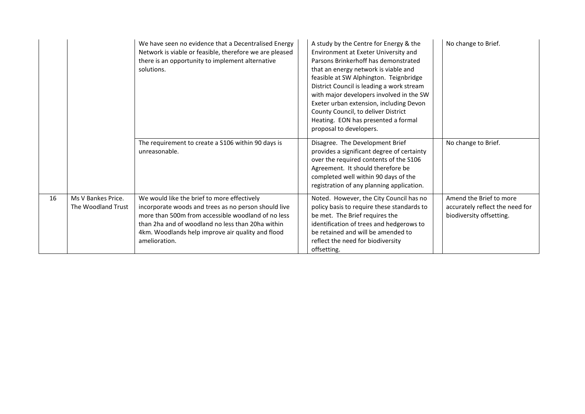|    |                                          | We have seen no evidence that a Decentralised Energy<br>Network is viable or feasible, therefore we are pleased<br>there is an opportunity to implement alternative<br>solutions.                                                                                                    | A study by the Centre for Energy & the<br>Environment at Exeter University and<br>Parsons Brinkerhoff has demonstrated<br>that an energy network is viable and<br>feasible at SW Alphington. Teignbridge<br>District Council is leading a work stream<br>with major developers involved in the SW<br>Exeter urban extension, including Devon<br>County Council, to deliver District<br>Heating. EON has presented a formal<br>proposal to developers. | No change to Brief.                                                                    |
|----|------------------------------------------|--------------------------------------------------------------------------------------------------------------------------------------------------------------------------------------------------------------------------------------------------------------------------------------|-------------------------------------------------------------------------------------------------------------------------------------------------------------------------------------------------------------------------------------------------------------------------------------------------------------------------------------------------------------------------------------------------------------------------------------------------------|----------------------------------------------------------------------------------------|
|    |                                          | The requirement to create a S106 within 90 days is<br>unreasonable.                                                                                                                                                                                                                  | Disagree. The Development Brief<br>provides a significant degree of certainty<br>over the required contents of the S106<br>Agreement. It should therefore be<br>completed well within 90 days of the<br>registration of any planning application.                                                                                                                                                                                                     | No change to Brief.                                                                    |
| 16 | Ms V Bankes Price.<br>The Woodland Trust | We would like the brief to more effectively<br>incorporate woods and trees as no person should live<br>more than 500m from accessible woodland of no less<br>than 2ha and of woodland no less than 20ha within<br>4km. Woodlands help improve air quality and flood<br>amelioration. | Noted. However, the City Council has no<br>policy basis to require these standards to<br>be met. The Brief requires the<br>identification of trees and hedgerows to<br>be retained and will be amended to<br>reflect the need for biodiversity<br>offsetting.                                                                                                                                                                                         | Amend the Brief to more<br>accurately reflect the need for<br>biodiversity offsetting. |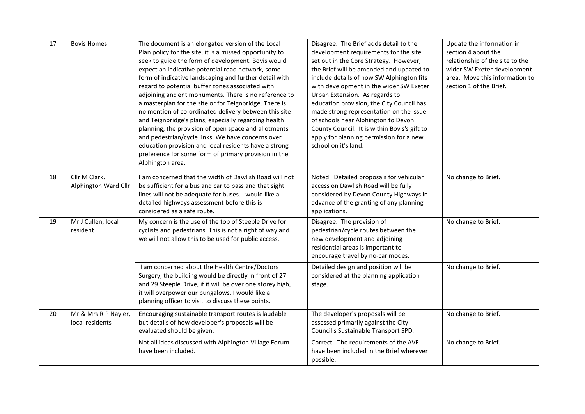| 17 | <b>Bovis Homes</b>                      | The document is an elongated version of the Local<br>Plan policy for the site, it is a missed opportunity to<br>seek to guide the form of development. Bovis would<br>expect an indicative potential road network, some<br>form of indicative landscaping and further detail with<br>regard to potential buffer zones associated with<br>adjoining ancient monuments. There is no reference to<br>a masterplan for the site or for Teignbridge. There is<br>no mention of co-ordinated delivery between this site<br>and Teignbridge's plans, especially regarding health<br>planning, the provision of open space and allotments<br>and pedestrian/cycle links. We have concerns over<br>education provision and local residents have a strong<br>preference for some form of primary provision in the<br>Alphington area. | Disagree. The Brief adds detail to the<br>development requirements for the site<br>set out in the Core Strategy. However,<br>the Brief will be amended and updated to<br>include details of how SW Alphington fits<br>with development in the wider SW Exeter<br>Urban Extension. As regards to<br>education provision, the City Council has<br>made strong representation on the issue<br>of schools near Alphington to Devon<br>County Council. It is within Bovis's gift to<br>apply for planning permission for a new<br>school on it's land. | Update the information in<br>section 4 about the<br>relationship of the site to the<br>wider SW Exeter development<br>area. Move this information to<br>section 1 of the Brief. |
|----|-----------------------------------------|-----------------------------------------------------------------------------------------------------------------------------------------------------------------------------------------------------------------------------------------------------------------------------------------------------------------------------------------------------------------------------------------------------------------------------------------------------------------------------------------------------------------------------------------------------------------------------------------------------------------------------------------------------------------------------------------------------------------------------------------------------------------------------------------------------------------------------|---------------------------------------------------------------------------------------------------------------------------------------------------------------------------------------------------------------------------------------------------------------------------------------------------------------------------------------------------------------------------------------------------------------------------------------------------------------------------------------------------------------------------------------------------|---------------------------------------------------------------------------------------------------------------------------------------------------------------------------------|
| 18 | Cllr M Clark.<br>Alphington Ward Cllr   | I am concerned that the width of Dawlish Road will not<br>be sufficient for a bus and car to pass and that sight<br>lines will not be adequate for buses. I would like a<br>detailed highways assessment before this is<br>considered as a safe route.                                                                                                                                                                                                                                                                                                                                                                                                                                                                                                                                                                      | Noted. Detailed proposals for vehicular<br>access on Dawlish Road will be fully<br>considered by Devon County Highways in<br>advance of the granting of any planning<br>applications.                                                                                                                                                                                                                                                                                                                                                             | No change to Brief.                                                                                                                                                             |
| 19 | Mr J Cullen, local<br>resident          | My concern is the use of the top of Steeple Drive for<br>cyclists and pedestrians. This is not a right of way and<br>we will not allow this to be used for public access.                                                                                                                                                                                                                                                                                                                                                                                                                                                                                                                                                                                                                                                   | Disagree. The provision of<br>pedestrian/cycle routes between the<br>new development and adjoining<br>residential areas is important to<br>encourage travel by no-car modes.                                                                                                                                                                                                                                                                                                                                                                      | No change to Brief.                                                                                                                                                             |
|    |                                         | I am concerned about the Health Centre/Doctors<br>Surgery, the building would be directly in front of 27<br>and 29 Steeple Drive, if it will be over one storey high,<br>it will overpower our bungalows. I would like a<br>planning officer to visit to discuss these points.                                                                                                                                                                                                                                                                                                                                                                                                                                                                                                                                              | Detailed design and position will be<br>considered at the planning application<br>stage.                                                                                                                                                                                                                                                                                                                                                                                                                                                          | No change to Brief.                                                                                                                                                             |
| 20 | Mr & Mrs R P Nayler,<br>local residents | Encouraging sustainable transport routes is laudable<br>but details of how developer's proposals will be<br>evaluated should be given.                                                                                                                                                                                                                                                                                                                                                                                                                                                                                                                                                                                                                                                                                      | The developer's proposals will be<br>assessed primarily against the City<br>Council's Sustainable Transport SPD.                                                                                                                                                                                                                                                                                                                                                                                                                                  | No change to Brief.                                                                                                                                                             |
|    |                                         | Not all ideas discussed with Alphington Village Forum<br>have been included.                                                                                                                                                                                                                                                                                                                                                                                                                                                                                                                                                                                                                                                                                                                                                | Correct. The requirements of the AVF<br>have been included in the Brief wherever<br>possible.                                                                                                                                                                                                                                                                                                                                                                                                                                                     | No change to Brief.                                                                                                                                                             |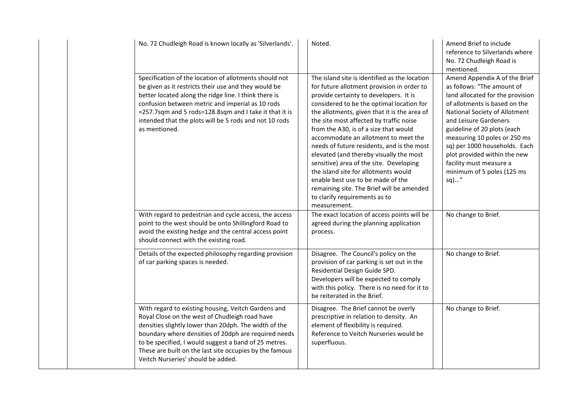| No. 72 Chudleigh Road is known locally as 'Silverlands'.                                                                                                                                                                                                                                                                                                                         | Noted.                                                                                                                                                                                                                                                                                                                                                                                                                                                                                                                                                                                                                                                                        | Amend Brief to include<br>reference to Silverlands where<br>No. 72 Chudleigh Road is<br>mentioned.                                                                                                                                                                                                                                                                                          |
|----------------------------------------------------------------------------------------------------------------------------------------------------------------------------------------------------------------------------------------------------------------------------------------------------------------------------------------------------------------------------------|-------------------------------------------------------------------------------------------------------------------------------------------------------------------------------------------------------------------------------------------------------------------------------------------------------------------------------------------------------------------------------------------------------------------------------------------------------------------------------------------------------------------------------------------------------------------------------------------------------------------------------------------------------------------------------|---------------------------------------------------------------------------------------------------------------------------------------------------------------------------------------------------------------------------------------------------------------------------------------------------------------------------------------------------------------------------------------------|
| Specification of the location of allotments should not<br>be given as it restricts their use and they would be<br>better located along the ridge line. I think there is<br>confusion between metric and imperial as 10 rods<br>=257.7sqm and 5 rods=128.8sqm and I take it that it is<br>intended that the plots will be 5 rods and not 10 rods<br>as mentioned.                 | The island site is identified as the location<br>for future allotment provision in order to<br>provide certainty to developers. It is<br>considered to be the optimal location for<br>the allotments, given that it is the area of<br>the site most affected by traffic noise<br>from the A30, is of a size that would<br>accommodate an allotment to meet the<br>needs of future residents, and is the most<br>elevated (and thereby visually the most<br>sensitive) area of the site. Developing<br>the island site for allotments would<br>enable best use to be made of the<br>remaining site. The Brief will be amended<br>to clarify requirements as to<br>measurement. | Amend Appendix A of the Brief<br>as follows: "The amount of<br>land allocated for the provision<br>of allotments is based on the<br>National Society of Allotment<br>and Leisure Gardeners<br>guideline of 20 plots (each<br>measuring 10 poles or 250 ms<br>sq) per 1000 households. Each<br>plot provided within the new<br>facility must measure a<br>minimum of 5 poles (125 ms<br>sq)" |
| With regard to pedestrian and cycle access, the access<br>point to the west should be onto Shillingford Road to<br>avoid the existing hedge and the central access point<br>should connect with the existing road.                                                                                                                                                               | The exact location of access points will be<br>agreed during the planning application<br>process.                                                                                                                                                                                                                                                                                                                                                                                                                                                                                                                                                                             | No change to Brief.                                                                                                                                                                                                                                                                                                                                                                         |
| Details of the expected philosophy regarding provision<br>of car parking spaces is needed.                                                                                                                                                                                                                                                                                       | Disagree. The Council's policy on the<br>provision of car parking is set out in the<br>Residential Design Guide SPD.<br>Developers will be expected to comply<br>with this policy. There is no need for it to<br>be reiterated in the Brief.                                                                                                                                                                                                                                                                                                                                                                                                                                  | No change to Brief.                                                                                                                                                                                                                                                                                                                                                                         |
| With regard to existing housing, Veitch Gardens and<br>Royal Close on the west of Chudleigh road have<br>densities slightly lower than 20dph. The width of the<br>boundary where densities of 20dph are required needs<br>to be specified, I would suggest a band of 25 metres.<br>These are built on the last site occupies by the famous<br>Veitch Nurseries' should be added. | Disagree. The Brief cannot be overly<br>prescriptive in relation to density. An<br>element of flexibility is required.<br>Reference to Veitch Nurseries would be<br>superfluous.                                                                                                                                                                                                                                                                                                                                                                                                                                                                                              | No change to Brief.                                                                                                                                                                                                                                                                                                                                                                         |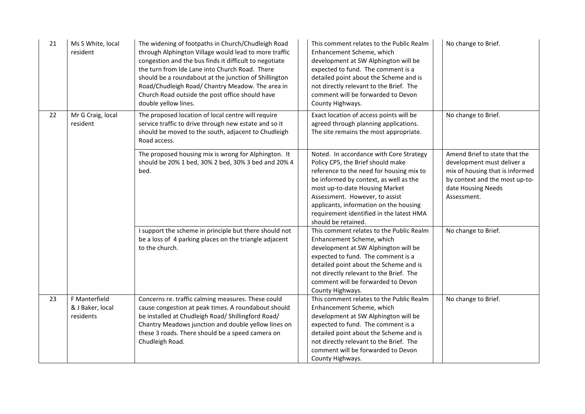| 21 | Ms S White, local<br>resident                  | The widening of footpaths in Church/Chudleigh Road<br>through Alphington Village would lead to more traffic<br>congestion and the bus finds it difficult to negotiate<br>the turn from Ide Lane into Church Road. There<br>should be a roundabout at the junction of Shillington<br>Road/Chudleigh Road/ Chantry Meadow. The area in<br>Church Road outside the post office should have<br>double yellow lines. | This comment relates to the Public Realm<br>Enhancement Scheme, which<br>development at SW Alphington will be<br>expected to fund. The comment is a<br>detailed point about the Scheme and is<br>not directly relevant to the Brief. The<br>comment will be forwarded to Devon<br>County Highways.                                                  | No change to Brief.                                                                                                                                                   |
|----|------------------------------------------------|-----------------------------------------------------------------------------------------------------------------------------------------------------------------------------------------------------------------------------------------------------------------------------------------------------------------------------------------------------------------------------------------------------------------|-----------------------------------------------------------------------------------------------------------------------------------------------------------------------------------------------------------------------------------------------------------------------------------------------------------------------------------------------------|-----------------------------------------------------------------------------------------------------------------------------------------------------------------------|
| 22 | Mr G Craig, local<br>resident                  | The proposed location of local centre will require<br>service traffic to drive through new estate and so it<br>should be moved to the south, adjacent to Chudleigh<br>Road access.                                                                                                                                                                                                                              | Exact location of access points will be<br>agreed through planning applications.<br>The site remains the most appropriate.                                                                                                                                                                                                                          | No change to Brief.                                                                                                                                                   |
|    |                                                | The proposed housing mix is wrong for Alphington. It<br>should be 20% 1 bed, 30% 2 bed, 30% 3 bed and 20% 4<br>bed.                                                                                                                                                                                                                                                                                             | Noted. In accordance with Core Strategy<br>Policy CP5, the Brief should make<br>reference to the need for housing mix to<br>be informed by context, as well as the<br>most up-to-date Housing Market<br>Assessment. However, to assist<br>applicants, information on the housing<br>requirement identified in the latest HMA<br>should be retained. | Amend Brief to state that the<br>development must deliver a<br>mix of housing that is informed<br>by context and the most up-to-<br>date Housing Needs<br>Assessment. |
|    |                                                | I support the scheme in principle but there should not<br>be a loss of 4 parking places on the triangle adjacent<br>to the church.                                                                                                                                                                                                                                                                              | This comment relates to the Public Realm<br>Enhancement Scheme, which<br>development at SW Alphington will be<br>expected to fund. The comment is a<br>detailed point about the Scheme and is<br>not directly relevant to the Brief. The<br>comment will be forwarded to Devon<br>County Highways.                                                  | No change to Brief.                                                                                                                                                   |
| 23 | F Manterfield<br>& J Baker, local<br>residents | Concerns re. traffic calming measures. These could<br>cause congestion at peak times. A roundabout should<br>be installed at Chudleigh Road/ Shillingford Road/<br>Chantry Meadows junction and double yellow lines on<br>these 3 roads. There should be a speed camera on<br>Chudleigh Road.                                                                                                                   | This comment relates to the Public Realm<br>Enhancement Scheme, which<br>development at SW Alphington will be<br>expected to fund. The comment is a<br>detailed point about the Scheme and is<br>not directly relevant to the Brief. The<br>comment will be forwarded to Devon<br>County Highways.                                                  | No change to Brief.                                                                                                                                                   |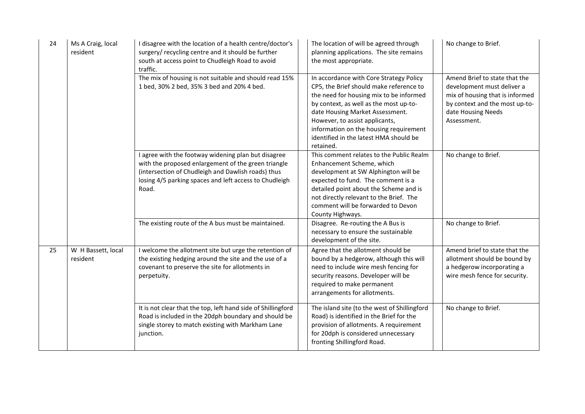| 24 | Ms A Craig, local<br>resident  | I disagree with the location of a health centre/doctor's<br>surgery/ recycling centre and it should be further<br>south at access point to Chudleigh Road to avoid<br>traffic.                                                      | The location of will be agreed through<br>planning applications. The site remains<br>the most appropriate.                                                                                                                                                                                                                                    | No change to Brief.                                                                                                                                                   |
|----|--------------------------------|-------------------------------------------------------------------------------------------------------------------------------------------------------------------------------------------------------------------------------------|-----------------------------------------------------------------------------------------------------------------------------------------------------------------------------------------------------------------------------------------------------------------------------------------------------------------------------------------------|-----------------------------------------------------------------------------------------------------------------------------------------------------------------------|
|    |                                | The mix of housing is not suitable and should read 15%<br>1 bed, 30% 2 bed, 35% 3 bed and 20% 4 bed.                                                                                                                                | In accordance with Core Strategy Policy<br>CP5, the Brief should make reference to<br>the need for housing mix to be informed<br>by context, as well as the most up-to-<br>date Housing Market Assessment.<br>However, to assist applicants,<br>information on the housing requirement<br>identified in the latest HMA should be<br>retained. | Amend Brief to state that the<br>development must deliver a<br>mix of housing that is informed<br>by context and the most up-to-<br>date Housing Needs<br>Assessment. |
|    |                                | I agree with the footway widening plan but disagree<br>with the proposed enlargement of the green triangle<br>(intersection of Chudleigh and Dawlish roads) thus<br>losing 4/5 parking spaces and left access to Chudleigh<br>Road. | This comment relates to the Public Realm<br>Enhancement Scheme, which<br>development at SW Alphington will be<br>expected to fund. The comment is a<br>detailed point about the Scheme and is<br>not directly relevant to the Brief. The<br>comment will be forwarded to Devon<br>County Highways.                                            | No change to Brief.                                                                                                                                                   |
|    |                                | The existing route of the A bus must be maintained.                                                                                                                                                                                 | Disagree. Re-routing the A Bus is<br>necessary to ensure the sustainable<br>development of the site.                                                                                                                                                                                                                                          | No change to Brief.                                                                                                                                                   |
| 25 | W H Bassett, local<br>resident | I welcome the allotment site but urge the retention of<br>the existing hedging around the site and the use of a<br>covenant to preserve the site for allotments in<br>perpetuity.                                                   | Agree that the allotment should be<br>bound by a hedgerow, although this will<br>need to include wire mesh fencing for<br>security reasons. Developer will be<br>required to make permanent<br>arrangements for allotments.                                                                                                                   | Amend brief to state that the<br>allotment should be bound by<br>a hedgerow incorporating a<br>wire mesh fence for security.                                          |
|    |                                | It is not clear that the top, left hand side of Shillingford<br>Road is included in the 20dph boundary and should be<br>single storey to match existing with Markham Lane<br>junction.                                              | The island site (to the west of Shillingford<br>Road) is identified in the Brief for the<br>provision of allotments. A requirement<br>for 20dph is considered unnecessary<br>fronting Shillingford Road.                                                                                                                                      | No change to Brief.                                                                                                                                                   |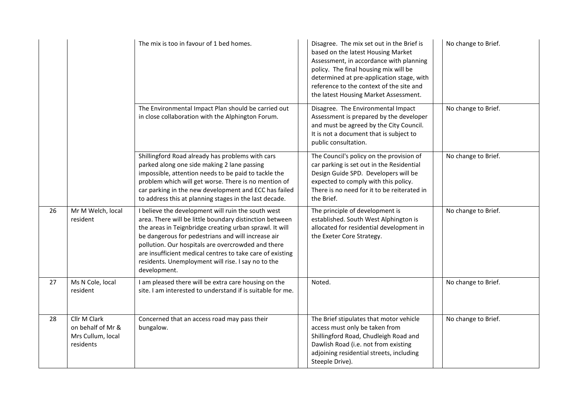|    |                                                                     | The mix is too in favour of 1 bed homes.                                                                                                                                                                                                                                                                                                                                                                                | Disagree. The mix set out in the Brief is<br>based on the latest Housing Market<br>Assessment, in accordance with planning<br>policy. The final housing mix will be<br>determined at pre-application stage, with<br>reference to the context of the site and<br>the latest Housing Market Assessment. | No change to Brief. |
|----|---------------------------------------------------------------------|-------------------------------------------------------------------------------------------------------------------------------------------------------------------------------------------------------------------------------------------------------------------------------------------------------------------------------------------------------------------------------------------------------------------------|-------------------------------------------------------------------------------------------------------------------------------------------------------------------------------------------------------------------------------------------------------------------------------------------------------|---------------------|
|    |                                                                     | The Environmental Impact Plan should be carried out<br>in close collaboration with the Alphington Forum.                                                                                                                                                                                                                                                                                                                | Disagree. The Environmental Impact<br>Assessment is prepared by the developer<br>and must be agreed by the City Council.<br>It is not a document that is subject to<br>public consultation.                                                                                                           | No change to Brief. |
|    |                                                                     | Shillingford Road already has problems with cars<br>parked along one side making 2 lane passing<br>impossible, attention needs to be paid to tackle the<br>problem which will get worse. There is no mention of<br>car parking in the new development and ECC has failed<br>to address this at planning stages in the last decade.                                                                                      | The Council's policy on the provision of<br>car parking is set out in the Residential<br>Design Guide SPD. Developers will be<br>expected to comply with this policy.<br>There is no need for it to be reiterated in<br>the Brief.                                                                    | No change to Brief. |
| 26 | Mr M Welch, local<br>resident                                       | I believe the development will ruin the south west<br>area. There will be little boundary distinction between<br>the areas in Teignbridge creating urban sprawl. It will<br>be dangerous for pedestrians and will increase air<br>pollution. Our hospitals are overcrowded and there<br>are insufficient medical centres to take care of existing<br>residents. Unemployment will rise. I say no to the<br>development. | The principle of development is<br>established. South West Alphington is<br>allocated for residential development in<br>the Exeter Core Strategy.                                                                                                                                                     | No change to Brief. |
| 27 | Ms N Cole, local<br>resident                                        | I am pleased there will be extra care housing on the<br>site. I am interested to understand if is suitable for me.                                                                                                                                                                                                                                                                                                      | Noted.                                                                                                                                                                                                                                                                                                | No change to Brief. |
| 28 | Cllr M Clark<br>on behalf of Mr &<br>Mrs Cullum, local<br>residents | Concerned that an access road may pass their<br>bungalow.                                                                                                                                                                                                                                                                                                                                                               | The Brief stipulates that motor vehicle<br>access must only be taken from<br>Shillingford Road, Chudleigh Road and<br>Dawlish Road (i.e. not from existing<br>adjoining residential streets, including<br>Steeple Drive).                                                                             | No change to Brief. |